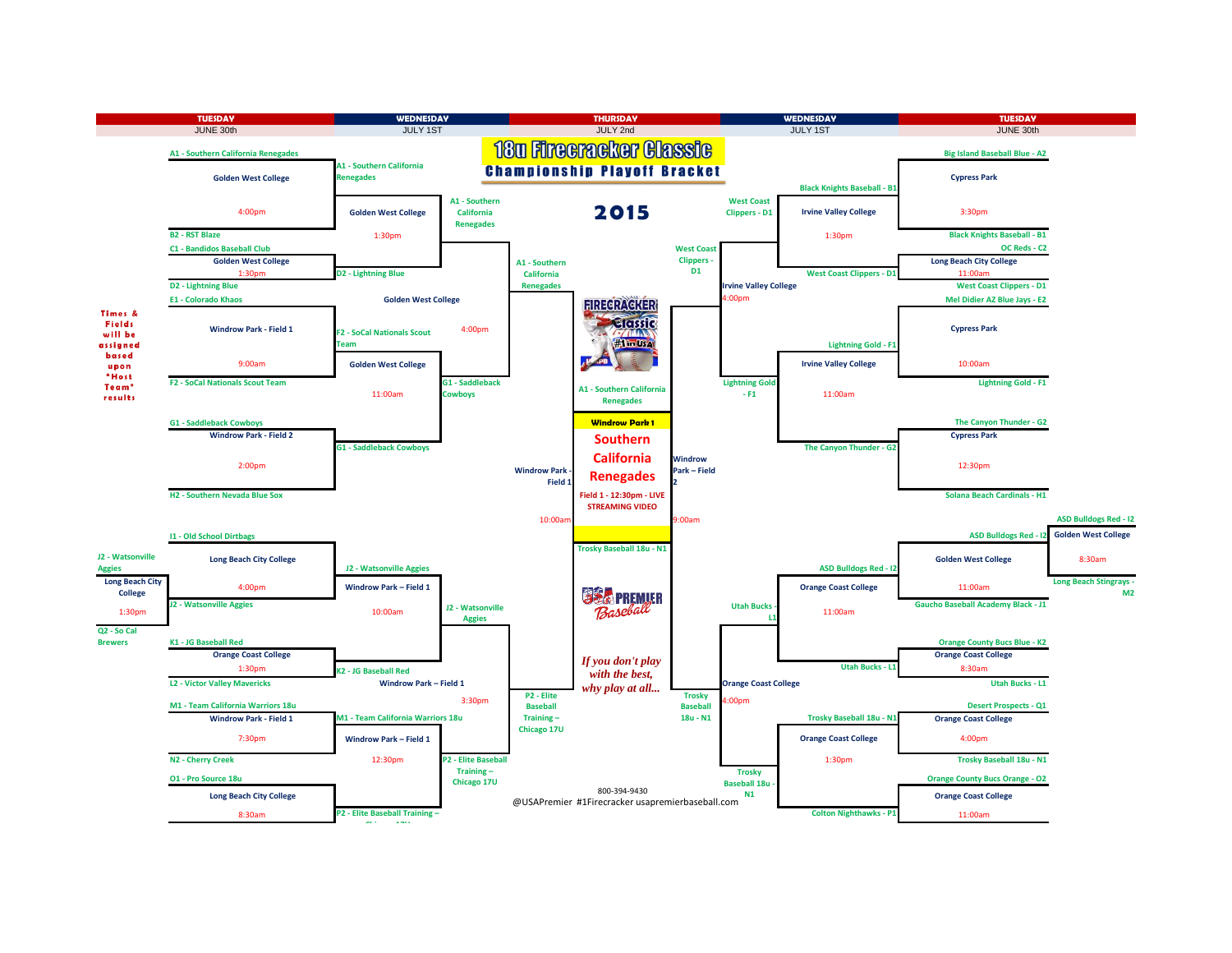